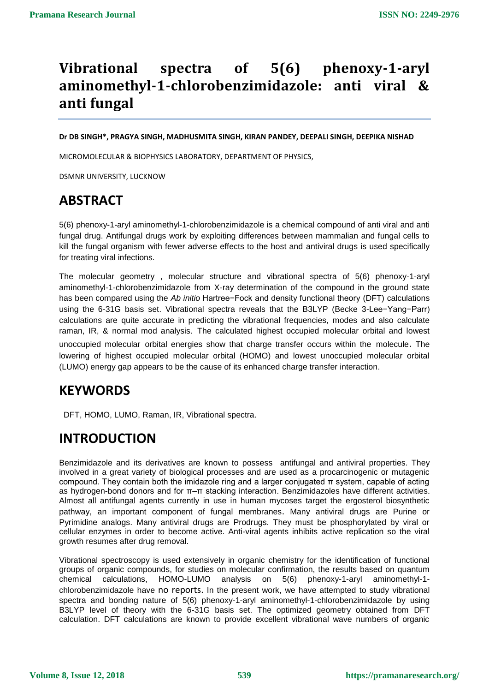# **Vibrational spectra of 5(6) phenoxy-1-aryl aminomethyl-1-chlorobenzimidazole: anti viral & anti fungal**

**Dr DB SINGH\*, PRAGYA SINGH, MADHUSMITA SINGH, KIRAN PANDEY, DEEPALI SINGH, DEEPIKA NISHAD**

MICROMOLECULAR & BIOPHYSICS LABORATORY, DEPARTMENT OF PHYSICS,

DSMNR UNIVERSITY, LUCKNOW

## **ABSTRACT**

5(6) phenoxy-1-aryl aminomethyl-1-chlorobenzimidazole is a chemical compound of anti viral and anti fungal drug. Antifungal drugs work by exploiting differences between mammalian and fungal cells to kill the fungal organism with fewer adverse effects to the host and antiviral drugs is used specifically for treating viral infections.

The molecular geometry , molecular structure and vibrational spectra of 5(6) phenoxy-1-aryl aminomethyl-1-chlorobenzimidazole from X-ray determination of the compound in the ground state has been compared using the *Ab initio* Hartree−Fock and density functional theory (DFT) calculations using the 6-31G basis set. Vibrational spectra reveals that the B3LYP (Becke 3-Lee−Yang−Parr) calculations are quite accurate in predicting the vibrational frequencies, modes and also calculate raman, IR, & normal mod analysis. The calculated highest occupied molecular orbital and lowest unoccupied molecular orbital energies show that charge transfer occurs within the molecule. The lowering of highest occupied molecular orbital (HOMO) and lowest unoccupied molecular orbital (LUMO) energy gap appears to be the cause of its enhanced charge transfer interaction.

## **KEYWORDS**

DFT, HOMO, LUMO, Raman, IR, Vibrational spectra.

## **INTRODUCTION**

Benzimidazole and its derivatives are known to possess antifungal and antiviral properties. They involved in a great variety of biological processes and are used as a procarcinogenic or mutagenic compound. They contain both the imidazole ring and a larger conjugated π system, capable of acting as hydrogen-bond donors and for π–π stacking interaction. Benzimidazoles have different activities. Almost all antifungal agents currently in use in human mycoses target the ergosterol biosynthetic pathway, an important component of fungal membranes. Many antiviral drugs are Purine or Pyrimidine analogs. Many antiviral drugs are Prodrugs. They must be phosphorylated by viral or cellular enzymes in order to become active. Anti-viral agents inhibits active replication so the viral growth resumes after drug removal.

Vibrational spectroscopy is used extensively in organic chemistry for the identification of functional groups of organic compounds, for studies on molecular confirmation, the results based on quantum chemical calculations, HOMO-LUMO analysis on 5(6) phenoxy-1-aryl aminomethyl-1 chlorobenzimidazole have no reports. In the present work, we have attempted to study vibrational spectra and bonding nature of 5(6) phenoxy-1-aryl aminomethyl-1-chlorobenzimidazole by using B3LYP level of theory with the 6-31G basis set. The optimized geometry obtained from DFT calculation. DFT calculations are known to provide excellent vibrational wave numbers of organic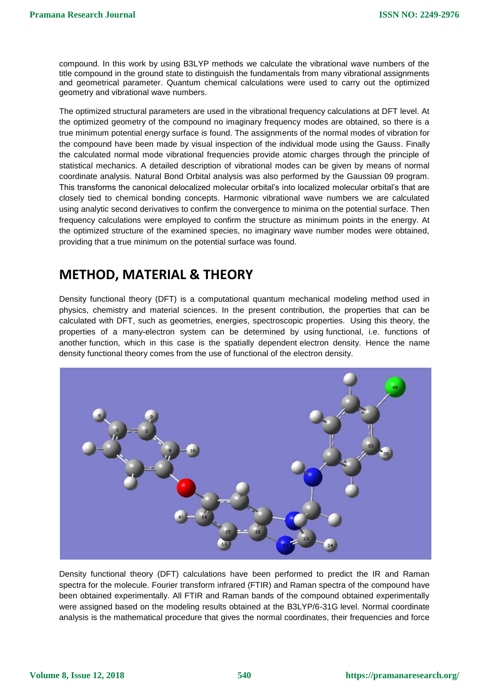compound. In this work by using B3LYP methods we calculate the vibrational wave numbers of the title compound in the ground state to distinguish the fundamentals from many vibrational assignments and geometrical parameter. Quantum chemical calculations were used to carry out the optimized geometry and vibrational wave numbers.

The optimized structural parameters are used in the vibrational frequency calculations at DFT level. At the optimized geometry of the compound no imaginary frequency modes are obtained, so there is a true minimum potential energy surface is found. The assignments of the normal modes of vibration for the compound have been made by visual inspection of the individual mode using the Gauss. Finally the calculated normal mode vibrational frequencies provide atomic charges through the principle of statistical mechanics. A detailed description of vibrational modes can be given by means of normal coordinate analysis. Natural Bond Orbital analysis was also performed by the Gaussian 09 program. This transforms the canonical delocalized molecular orbital's into localized molecular orbital's that are closely tied to chemical bonding concepts. Harmonic vibrational wave numbers we are calculated using analytic second derivatives to confirm the convergence to minima on the potential surface. Then frequency calculations were employed to confirm the structure as minimum points in the energy. At the optimized structure of the examined species, no imaginary wave number modes were obtained, providing that a true minimum on the potential surface was found.

### **METHOD, MATERIAL & THEORY**

Density functional theory (DFT) is a computational quantum mechanical modeling method used in physics, chemistry and material sciences. In the present contribution, the properties that can be calculated with DFT, such as geometries, energies, spectroscopic properties. Using this theory, the properties of a many-electron system can be determined by using [functional,](https://en.wikipedia.org/wiki/Functional_(mathematics)) i.e. functions of another [function,](https://en.wikipedia.org/wiki/Function_(mathematics)) which in this case is the spatially dependent [electron density.](https://en.wikipedia.org/wiki/Electronic_density) Hence the name density functional theory comes from the use of functional of the electron density.



Density functional theory (DFT) calculations have been performed to predict the IR and Raman spectra for the molecule. Fourier transform infrared (FTIR) and Raman spectra of the compound have been obtained experimentally. All FTIR and Raman bands of the compound obtained experimentally were assigned based on the modeling results obtained at the B3LYP/6-31G level. Normal coordinate analysis is the mathematical procedure that gives the normal coordinates, their frequencies and force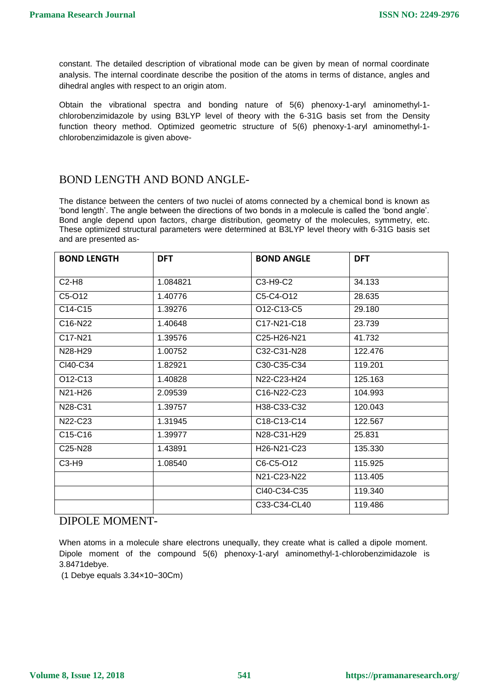constant. The detailed description of vibrational mode can be given by mean of normal coordinate analysis. The internal coordinate describe the position of the atoms in terms of distance, angles and dihedral angles with respect to an origin atom.

Obtain the vibrational spectra and bonding nature of 5(6) phenoxy-1-aryl aminomethyl-1 chlorobenzimidazole by using B3LYP level of theory with the 6-31G basis set from the Density function theory method. Optimized geometric structure of 5(6) phenoxy-1-aryl aminomethyl-1 chlorobenzimidazole is given above-

#### BOND LENGTH AND BOND ANGLE-

The distance between the centers of two nuclei of atoms connected by a chemical bond is known as 'bond length'. The angle between the directions of two bonds in a molecule is called the 'bond angle'. Bond angle depend upon factors, charge distribution, geometry of the molecules, symmetry, etc. These optimized structural parameters were determined at B3LYP level theory with 6-31G basis set and are presented as-

| <b>BOND LENGTH</b>               | <b>DFT</b> | <b>BOND ANGLE</b>                                 | <b>DFT</b> |
|----------------------------------|------------|---------------------------------------------------|------------|
|                                  |            |                                                   |            |
| $C2-H8$                          | 1.084821   | C3-H9-C2                                          | 34.133     |
| C5-O12                           | 1.40776    | C5-C4-O12                                         | 28.635     |
| C <sub>14</sub> -C <sub>15</sub> | 1.39276    | O12-C13-C5                                        | 29.180     |
| C <sub>16</sub> -N <sub>22</sub> | 1.40648    | C17-N21-C18                                       | 23.739     |
| C <sub>17</sub> -N <sub>21</sub> | 1.39576    | C <sub>25</sub> -H <sub>26</sub> -N <sub>21</sub> | 41.732     |
| N28-H29                          | 1.00752    | C32-C31-N28                                       | 122.476    |
| CI40-C34                         | 1.82921    | C30-C35-C34                                       | 119.201    |
| O <sub>12</sub> -C <sub>13</sub> | 1.40828    | N22-C23-H24                                       | 125.163    |
| N21-H26                          | 2.09539    | C <sub>16</sub> -N <sub>22</sub> -C <sub>23</sub> | 104.993    |
| N28-C31                          | 1.39757    | H38-C33-C32                                       | 120.043    |
| N22-C23                          | 1.31945    | C18-C13-C14                                       | 122.567    |
| C15-C16                          | 1.39977    | N28-C31-H29                                       | 25.831     |
| C25-N28                          | 1.43891    | H26-N21-C23                                       | 135.330    |
| C3-H9                            | 1.08540    | C6-C5-O12                                         | 115.925    |
|                                  |            | N21-C23-N22                                       | 113.405    |
|                                  |            | CI40-C34-C35                                      | 119.340    |
|                                  |            | C33-C34-CL40                                      | 119.486    |

#### DIPOLE MOMENT-

When atoms in a molecule share electrons unequally, they create what is called a dipole moment. Dipole moment of the compound 5(6) phenoxy-1-aryl aminomethyl-1-chlorobenzimidazole is 3.8471debye.

(1 Debye equals 3.34×10−30Cm)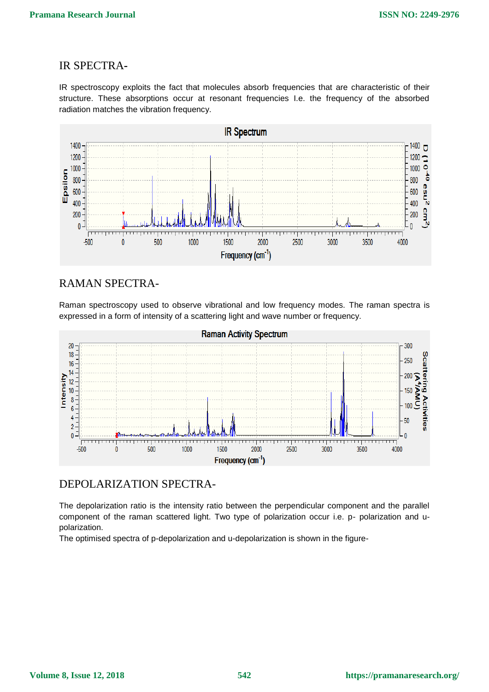#### IR SPECTRA**-**

IR spectroscopy exploits the fact that molecules absorb frequencies that are characteristic of their structure. These absorptions occur at resonant frequencies I.e. the frequency of the absorbed radiation matches the vibration frequency.



#### RAMAN SPECTRA-

Raman spectroscopy used to observe vibrational and low frequency modes. The raman spectra is expressed in a form of intensity of a scattering light and wave number or frequency.



#### DEPOLARIZATION SPECTRA-

The depolarization ratio is the intensity ratio between the perpendicular component and the parallel component of the raman scattered light. Two type of polarization occur i.e. p- polarization and upolarization.

The optimised spectra of p-depolarization and u-depolarization is shown in the figure-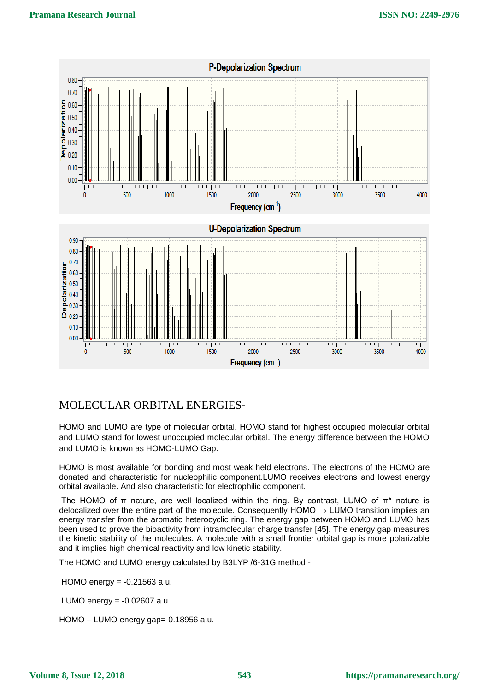

#### MOLECULAR ORBITAL ENERGIES-

HOMO and LUMO are type of molecular orbital. HOMO stand for highest occupied molecular orbital and LUMO stand for lowest unoccupied molecular orbital. The energy difference between the HOMO and LUMO is known as HOMO-LUMO Gap.

HOMO is most available for bonding and most weak held electrons. The electrons of the HOMO are donated and characteristic for nucleophilic component.LUMO receives electrons and lowest energy orbital available. And also characteristic for electrophilic component.

The HOMO of  $\pi$  nature, are well localized within the ring. By contrast, LUMO of  $\pi^*$  nature is delocalized over the entire part of the molecule. Consequently  $HOMO \rightarrow LUMO$  transition implies an energy transfer from the aromatic heterocyclic ring. The energy gap between HOMO and LUMO has been used to prove the bioactivity from intramolecular charge transfer [45]. The energy gap measures the kinetic stability of the molecules. A molecule with a small frontier orbital gap is more polarizable and it implies high chemical reactivity and low kinetic stability.

The HOMO and LUMO energy calculated by B3LYP /6-31G method -

HOMO energy = -0.21563 a u.

LUMO energy = -0.02607 a.u.

HOMO – LUMO energy gap=-0.18956 a.u.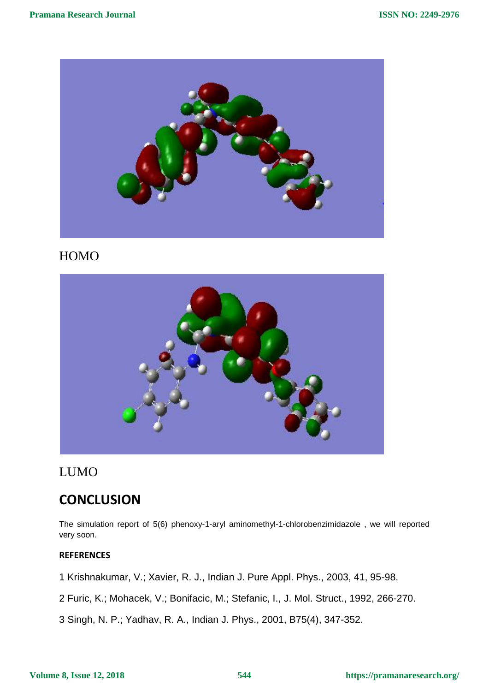

### HOMO



### LUMO

## **CONCLUSION**

The simulation report of 5(6) phenoxy-1-aryl aminomethyl-1-chlorobenzimidazole , we will reported very soon.

#### **REFERENCES**

1 Krishnakumar, V.; Xavier, R. J., Indian J. Pure Appl. Phys., 2003, 41, 95-98.

2 Furic, K.; Mohacek, V.; Bonifacic, M.; Stefanic, I., J. Mol. Struct., 1992, 266-270.

3 Singh, N. P.; Yadhav, R. A., Indian J. Phys., 2001, B75(4), 347-352.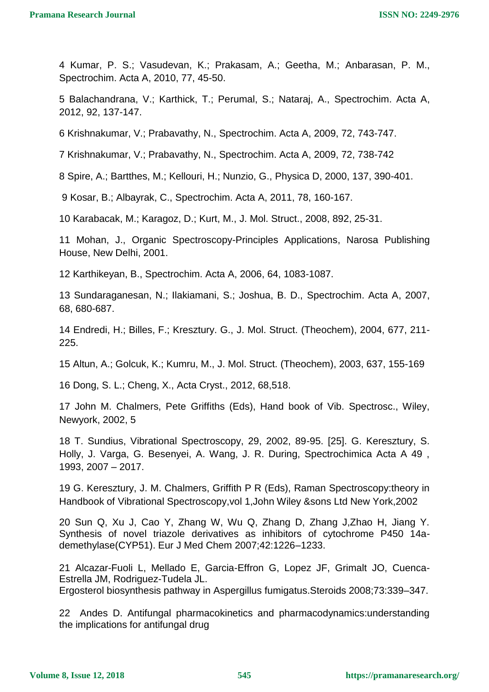4 Kumar, P. S.; Vasudevan, K.; Prakasam, A.; Geetha, M.; Anbarasan, P. M., Spectrochim. Acta A, 2010, 77, 45-50.

5 Balachandrana, V.; Karthick, T.; Perumal, S.; Nataraj, A., Spectrochim. Acta A, 2012, 92, 137-147.

6 Krishnakumar, V.; Prabavathy, N., Spectrochim. Acta A, 2009, 72, 743-747.

7 Krishnakumar, V.; Prabavathy, N., Spectrochim. Acta A, 2009, 72, 738-742

8 Spire, A.; Bartthes, M.; Kellouri, H.; Nunzio, G., Physica D, 2000, 137, 390-401.

9 Kosar, B.; Albayrak, C., Spectrochim. Acta A, 2011, 78, 160-167.

10 Karabacak, M.; Karagoz, D.; Kurt, M., J. Mol. Struct., 2008, 892, 25-31.

11 Mohan, J., Organic Spectroscopy-Principles Applications, Narosa Publishing House, New Delhi, 2001.

12 Karthikeyan, B., Spectrochim. Acta A, 2006, 64, 1083-1087.

13 Sundaraganesan, N.; Ilakiamani, S.; Joshua, B. D., Spectrochim. Acta A, 2007, 68, 680-687.

14 Endredi, H.; Billes, F.; Kresztury. G., J. Mol. Struct. (Theochem), 2004, 677, 211- 225.

15 Altun, A.; Golcuk, K.; Kumru, M., J. Mol. Struct. (Theochem), 2003, 637, 155-169

16 Dong, S. L.; Cheng, X., Acta Cryst., 2012, 68,518.

17 John M. Chalmers, Pete Griffiths (Eds), Hand book of Vib. Spectrosc., Wiley, Newyork, 2002, 5

18 T. Sundius, Vibrational Spectroscopy, 29, 2002, 89-95. [25]. G. Keresztury, S. Holly, J. Varga, G. Besenyei, A. Wang, J. R. During, Spectrochimica Acta A 49 , 1993, 2007 – 2017.

19 G. Keresztury, J. M. Chalmers, Griffith P R (Eds), Raman Spectroscopy:theory in Handbook of Vibrational Spectroscopy,vol 1,John Wiley &sons Ltd New York,2002

20 Sun Q, Xu J, Cao Y, Zhang W, Wu Q, Zhang D, Zhang J,Zhao H, Jiang Y. Synthesis of novel triazole derivatives as inhibitors of cytochrome P450 14ademethylase(CYP51). Eur J Med Chem 2007;42:1226–1233.

21 Alcazar-Fuoli L, Mellado E, Garcia-Effron G, Lopez JF, Grimalt JO, Cuenca-Estrella JM, Rodriguez-Tudela JL.

Ergosterol biosynthesis pathway in Aspergillus fumigatus.Steroids 2008;73:339–347.

22 Andes D. Antifungal pharmacokinetics and pharmacodynamics:understanding the implications for antifungal drug